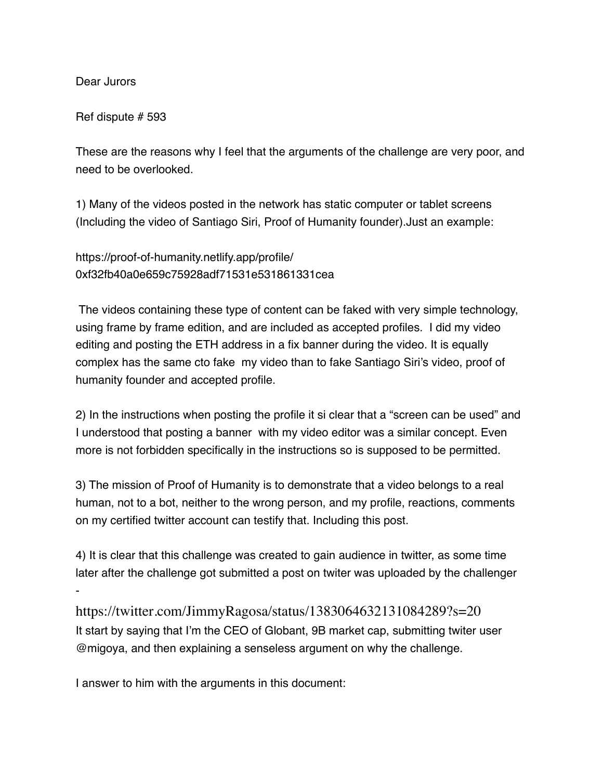Dear Jurors

-

Ref dispute # 593

These are the reasons why I feel that the arguments of the challenge are very poor, and need to be overlooked.

1) Many of the videos posted in the network has static computer or tablet screens (Including the video of Santiago Siri, Proof of Humanity founder).Just an example:

https://proof-of-humanity.netlify.app/profile/ 0xf32fb40a0e659c75928adf71531e531861331cea

 The videos containing these type of content can be faked with very simple technology, using frame by frame edition, and are included as accepted profiles. I did my video editing and posting the ETH address in a fix banner during the video. It is equally complex has the same cto fake my video than to fake Santiago Siri's video, proof of humanity founder and accepted profile.

2) In the instructions when posting the profile it si clear that a "screen can be used" and I understood that posting a banner with my video editor was a similar concept. Even more is not forbidden specifically in the instructions so is supposed to be permitted.

3) The mission of Proof of Humanity is to demonstrate that a video belongs to a real human, not to a bot, neither to the wrong person, and my profile, reactions, comments on my certified twitter account can testify that. Including this post.

4) It is clear that this challenge was created to gain audience in twitter, as some time later after the challenge got submitted a post on twiter was uploaded by the challenger

https://twitter.com/JimmyRagosa/status/1383064632131084289?s=20 It start by saying that I'm the CEO of Globant, 9B market cap, submitting twiter user @migoya, and then explaining a senseless argument on why the challenge.

I answer to him with the arguments in this document: